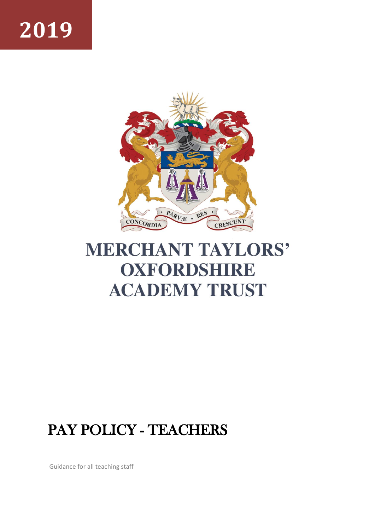# **2019**



## **MERCHANT TAYLORS' OXFORDSHIRE ACADEMY TRUST**

## PAY POLICY - TEACHERS

Guidance for all teaching staff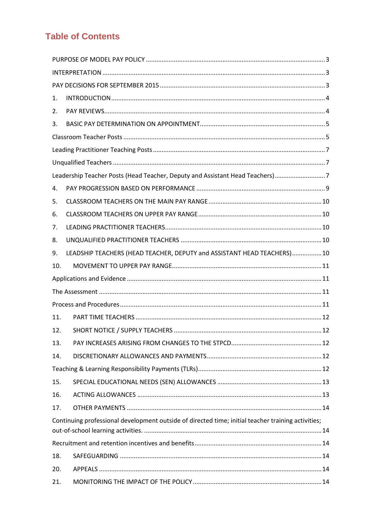## **Table of Contents**

| 1.  |                                                                                                    |  |
|-----|----------------------------------------------------------------------------------------------------|--|
| 2.  |                                                                                                    |  |
| 3.  |                                                                                                    |  |
|     |                                                                                                    |  |
|     |                                                                                                    |  |
|     |                                                                                                    |  |
|     | Leadership Teacher Posts (Head Teacher, Deputy and Assistant Head Teachers)7                       |  |
| 4.  |                                                                                                    |  |
| 5.  |                                                                                                    |  |
| 6.  |                                                                                                    |  |
| 7.  |                                                                                                    |  |
| 8.  |                                                                                                    |  |
| 9.  | LEADSHIP TEACHERS (HEAD TEACHER, DEPUTY and ASSISTANT HEAD TEACHERS) 10                            |  |
| 10. |                                                                                                    |  |
|     |                                                                                                    |  |
|     |                                                                                                    |  |
|     |                                                                                                    |  |
| 11. |                                                                                                    |  |
| 12. |                                                                                                    |  |
| 13. |                                                                                                    |  |
| 14. |                                                                                                    |  |
|     |                                                                                                    |  |
| 15. |                                                                                                    |  |
| 16. |                                                                                                    |  |
| 17. |                                                                                                    |  |
|     | Continuing professional development outside of directed time; initial teacher training activities; |  |
|     |                                                                                                    |  |
| 18. |                                                                                                    |  |
| 20. |                                                                                                    |  |
|     |                                                                                                    |  |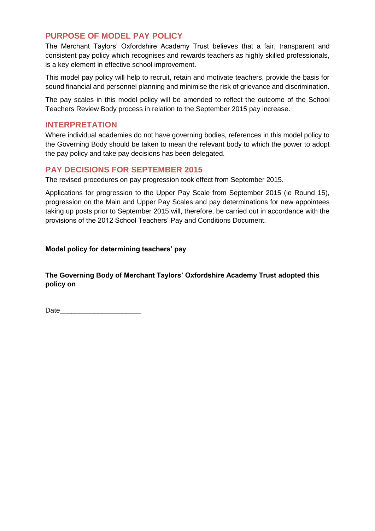## <span id="page-3-0"></span>**PURPOSE OF MODEL PAY POLICY**

The Merchant Taylors' Oxfordshire Academy Trust believes that a fair, transparent and consistent pay policy which recognises and rewards teachers as highly skilled professionals, is a key element in effective school improvement.

This model pay policy will help to recruit, retain and motivate teachers, provide the basis for sound financial and personnel planning and minimise the risk of grievance and discrimination.

The pay scales in this model policy will be amended to reflect the outcome of the School Teachers Review Body process in relation to the September 2015 pay increase.

#### <span id="page-3-1"></span>**INTERPRETATION**

Where individual academies do not have governing bodies, references in this model policy to the Governing Body should be taken to mean the relevant body to which the power to adopt the pay policy and take pay decisions has been delegated.

## <span id="page-3-2"></span>**PAY DECISIONS FOR SEPTEMBER 2015**

The revised procedures on pay progression took effect from September 2015.

Applications for progression to the Upper Pay Scale from September 2015 (ie Round 15), progression on the Main and Upper Pay Scales and pay determinations for new appointees taking up posts prior to September 2015 will, therefore, be carried out in accordance with the provisions of the 2012 School Teachers' Pay and Conditions Document.

#### **Model policy for determining teachers' pay**

**The Governing Body of Merchant Taylors' Oxfordshire Academy Trust adopted this policy on** 

Date **Date**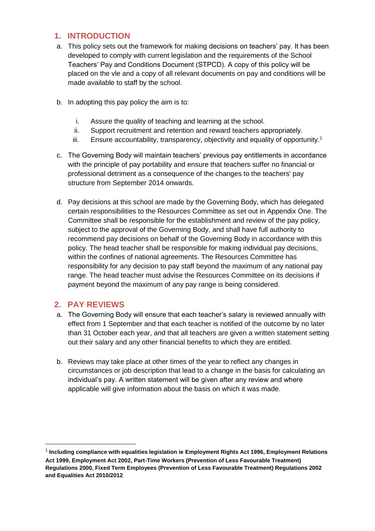## <span id="page-4-0"></span>**1. INTRODUCTION**

- a. This policy sets out the framework for making decisions on teachers' pay. It has been developed to comply with current legislation and the requirements of the School Teachers' Pay and Conditions Document (STPCD). A copy of this policy will be placed on the vle and a copy of all relevant documents on pay and conditions will be made available to staff by the school.
- b. In adopting this pay policy the aim is to:
	- i. Assure the quality of teaching and learning at the school.
	- ii. Support recruitment and retention and reward teachers appropriately.
	- iii. Ensure accountability, transparency, objectivity and equality of opportunity.<sup>1</sup>
- c. The Governing Body will maintain teachers' previous pay entitlements in accordance with the principle of pay portability and ensure that teachers suffer no financial or professional detriment as a consequence of the changes to the teachers' pay structure from September 2014 onwards.
- d. Pay decisions at this school are made by the Governing Body, which has delegated certain responsibilities to the Resources Committee as set out in Appendix One. The Committee shall be responsible for the establishment and review of the pay policy, subject to the approval of the Governing Body, and shall have full authority to recommend pay decisions on behalf of the Governing Body in accordance with this policy. The head teacher shall be responsible for making individual pay decisions, within the confines of national agreements. The Resources Committee has responsibility for any decision to pay staff beyond the maximum of any national pay range. The head teacher must advise the Resources Committee on its decisions if payment beyond the maximum of any pay range is being considered.

## <span id="page-4-1"></span>**2. PAY REVIEWS**

**.** 

- a. The Governing Body will ensure that each teacher's salary is reviewed annually with effect from 1 September and that each teacher is notified of the outcome by no later than 31 October each year, and that all teachers are given a written statement setting out their salary and any other financial benefits to which they are entitled.
- b. Reviews may take place at other times of the year to reflect any changes in circumstances or job description that lead to a change in the basis for calculating an individual's pay. A written statement will be given after any review and where applicable will give information about the basis on which it was made.

<sup>1</sup> **Including compliance with equalities legislation ie Employment Rights Act 1996, Employment Relations Act 1999, Employment Act 2002, Part-Time Workers (Prevention of Less Favourable Treatment) Regulations 2000, Fixed Term Employees (Prevention of Less Favourable Treatment) Regulations 2002 and Equalities Act 2010/2012**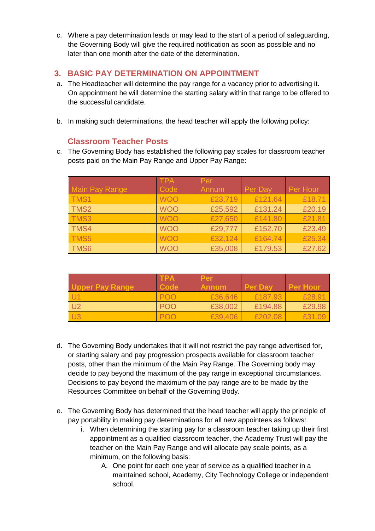c. Where a pay determination leads or may lead to the start of a period of safeguarding, the Governing Body will give the required notification as soon as possible and no later than one month after the date of the determination.

## <span id="page-5-0"></span>**3. BASIC PAY DETERMINATION ON APPOINTMENT**

- a. The Headteacher will determine the pay range for a vacancy prior to advertising it. On appointment he will determine the starting salary within that range to be offered to the successful candidate.
- b. In making such determinations, the head teacher will apply the following policy:

## **Classroom Teacher Posts**

<span id="page-5-1"></span>c. The Governing Body has established the following pay scales for classroom teacher posts paid on the Main Pay Range and Upper Pay Range:

|                | <b>TPA</b> | Per     |         |          |
|----------------|------------|---------|---------|----------|
| Main Pay Range | Code       | Annum   | Per Day | Per Hour |
| TMS1           | <b>WOO</b> | £23,719 | £121.64 | £18.71   |
| TMS2           | <b>WOO</b> | £25,592 | £131.24 | £20.19   |
| TMS3           | <b>WOO</b> | £27,650 | £141.80 | £21.81   |
| TMS4           | <b>WOO</b> | £29,777 | £152.70 | £23.49   |
| TMS5           | <b>WOO</b> | £32,124 | £164.74 | £25.34   |
| TMS6           | <b>WOO</b> | £35,008 | £179.53 | £27.62   |

|                 | <b>TPA</b>  | Per          |                |                 |
|-----------------|-------------|--------------|----------------|-----------------|
| Upper Pay Range | <b>Code</b> | <b>Annum</b> | <b>Per Dav</b> | <b>Per Hour</b> |
|                 | <b>POO</b>  | £36,646      | £187.93        | £28.91          |
| U <sub>2</sub>  | <b>POO</b>  | £38,002      | £194.88        | £29.98          |
|                 | POO         | £39,406      | £202.08        | £31.09          |

- d. The Governing Body undertakes that it will not restrict the pay range advertised for, or starting salary and pay progression prospects available for classroom teacher posts, other than the minimum of the Main Pay Range. The Governing body may decide to pay beyond the maximum of the pay range in exceptional circumstances. Decisions to pay beyond the maximum of the pay range are to be made by the Resources Committee on behalf of the Governing Body.
- e. The Governing Body has determined that the head teacher will apply the principle of pay portability in making pay determinations for all new appointees as follows:
	- i. When determining the starting pay for a classroom teacher taking up their first appointment as a qualified classroom teacher, the Academy Trust will pay the teacher on the Main Pay Range and will allocate pay scale points, as a minimum, on the following basis:
		- A. One point for each one year of service as a qualified teacher in a maintained school, Academy, City Technology College or independent school.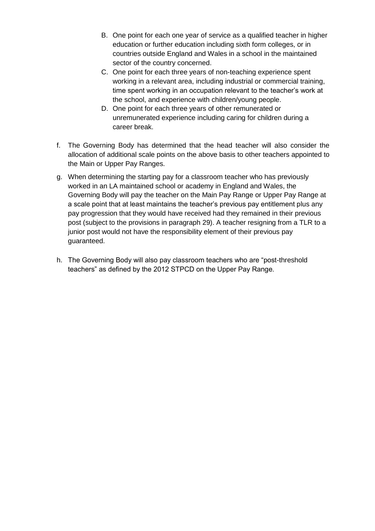- B. One point for each one year of service as a qualified teacher in higher education or further education including sixth form colleges, or in countries outside England and Wales in a school in the maintained sector of the country concerned.
- C. One point for each three years of non-teaching experience spent working in a relevant area, including industrial or commercial training, time spent working in an occupation relevant to the teacher's work at the school, and experience with children/young people.
- D. One point for each three years of other remunerated or unremunerated experience including caring for children during a career break.
- f. The Governing Body has determined that the head teacher will also consider the allocation of additional scale points on the above basis to other teachers appointed to the Main or Upper Pay Ranges.
- g. When determining the starting pay for a classroom teacher who has previously worked in an LA maintained school or academy in England and Wales, the Governing Body will pay the teacher on the Main Pay Range or Upper Pay Range at a scale point that at least maintains the teacher's previous pay entitlement plus any pay progression that they would have received had they remained in their previous post (subject to the provisions in paragraph 29). A teacher resigning from a TLR to a junior post would not have the responsibility element of their previous pay guaranteed.
- h. The Governing Body will also pay classroom teachers who are "post-threshold teachers" as defined by the 2012 STPCD on the Upper Pay Range.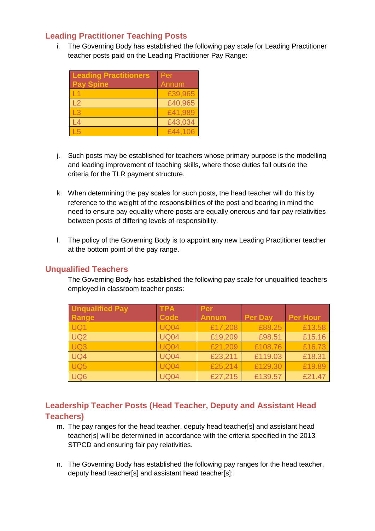## <span id="page-7-0"></span>**Leading Practitioner Teaching Posts**

i. The Governing Body has established the following pay scale for Leading Practitioner teacher posts paid on the Leading Practitioner Pay Range:

| <b>Leading Practitioners</b> | Per          |
|------------------------------|--------------|
| <b>Pay Spine</b>             | <b>Annum</b> |
|                              | £39,965      |
| $\Box$                       | £40,965      |
| L3                           | £41,989      |
| $\_4$                        | £43,034      |
| -5                           | £44.106      |

- j. Such posts may be established for teachers whose primary purpose is the modelling and leading improvement of teaching skills, where those duties fall outside the criteria for the TLR payment structure.
- k. When determining the pay scales for such posts, the head teacher will do this by reference to the weight of the responsibilities of the post and bearing in mind the need to ensure pay equality where posts are equally onerous and fair pay relativities between posts of differing levels of responsibility.
- l. The policy of the Governing Body is to appoint any new Leading Practitioner teacher at the bottom point of the pay range.

#### <span id="page-7-1"></span>**Unqualified Teachers**

The Governing Body has established the following pay scale for unqualified teachers employed in classroom teacher posts:

| <b>Unqualified Pay</b> | <b>TPA</b>  | Per          |                |                 |
|------------------------|-------------|--------------|----------------|-----------------|
| Range                  | Code        | <b>Annum</b> | <b>Per Day</b> | <b>Per Hour</b> |
| UQ1                    | <b>UQ04</b> | £17,208      | £88.25         | £13.58          |
| UQ <sub>2</sub>        | <b>UQ04</b> | £19,209      | £98.51         | £15.16          |
| UQ3                    | <b>UQ04</b> | £21,209      | £108.76        | £16.73          |
| UQ4                    | <b>UQ04</b> | £23,211      | £119.03        | £18.31          |
| UQ <sub>5</sub>        | <b>UQ04</b> | £25,214      | £129.30        | £19.89          |
| UQ <sub>6</sub>        | <b>UQ04</b> | £27,215      | £139.57        | £21.47          |

## <span id="page-7-2"></span>**Leadership Teacher Posts (Head Teacher, Deputy and Assistant Head Teachers)**

- m. The pay ranges for the head teacher, deputy head teacher[s] and assistant head teacher[s] will be determined in accordance with the criteria specified in the 2013 STPCD and ensuring fair pay relativities.
- n. The Governing Body has established the following pay ranges for the head teacher, deputy head teacher[s] and assistant head teacher[s]: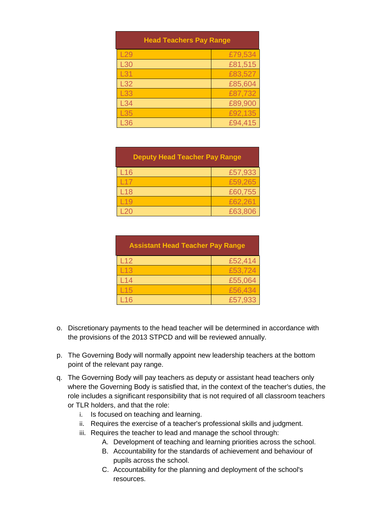| <b>Head Teachers Pay Range</b> |         |  |  |
|--------------------------------|---------|--|--|
| L29                            | £79,534 |  |  |
| L <sub>30</sub>                | £81,515 |  |  |
| L31                            | £83,527 |  |  |
| L32                            | £85,604 |  |  |
| L33                            | £87,732 |  |  |
| L34                            | £89,900 |  |  |
| L35                            | £92,135 |  |  |
| L36                            | £94,415 |  |  |

| <b>Deputy Head Teacher Pay Range</b> |         |  |  |
|--------------------------------------|---------|--|--|
| L <sub>16</sub>                      | £57,933 |  |  |
| 117                                  | £59,265 |  |  |
| L18                                  | £60,755 |  |  |
| l 19                                 | £62,261 |  |  |
| -20                                  | £63,806 |  |  |

| <b>Assistant Head Teacher Pay Range</b> |         |  |  |
|-----------------------------------------|---------|--|--|
| L12                                     | £52,414 |  |  |
| L13                                     | £53,724 |  |  |
| L14                                     | £55,064 |  |  |
| L15                                     | £56,434 |  |  |
| l 16                                    | £57,933 |  |  |

- o. Discretionary payments to the head teacher will be determined in accordance with the provisions of the 2013 STPCD and will be reviewed annually.
- p. The Governing Body will normally appoint new leadership teachers at the bottom point of the relevant pay range.
- q. The Governing Body will pay teachers as deputy or assistant head teachers only where the Governing Body is satisfied that, in the context of the teacher's duties, the role includes a significant responsibility that is not required of all classroom teachers or TLR holders, and that the role:
	- i. Is focused on teaching and learning.
	- ii. Requires the exercise of a teacher's professional skills and judgment.
	- iii. Requires the teacher to lead and manage the school through:
		- A. Development of teaching and learning priorities across the school.
		- B. Accountability for the standards of achievement and behaviour of pupils across the school.
		- C. Accountability for the planning and deployment of the school's resources.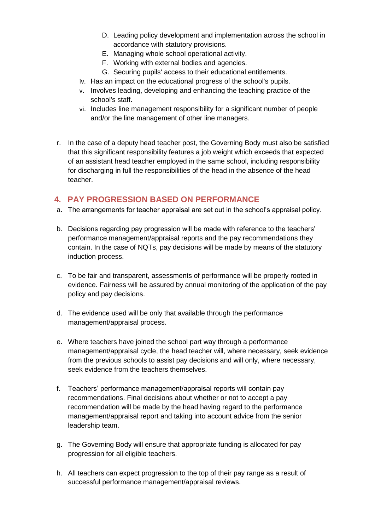- D. Leading policy development and implementation across the school in accordance with statutory provisions.
- E. Managing whole school operational activity.
- F. Working with external bodies and agencies.
- G. Securing pupils' access to their educational entitlements.
- iv. Has an impact on the educational progress of the school's pupils.
- v. Involves leading, developing and enhancing the teaching practice of the school's staff.
- vi. Includes line management responsibility for a significant number of people and/or the line management of other line managers.
- r. In the case of a deputy head teacher post, the Governing Body must also be satisfied that this significant responsibility features a job weight which exceeds that expected of an assistant head teacher employed in the same school, including responsibility for discharging in full the responsibilities of the head in the absence of the head teacher.

#### <span id="page-9-0"></span>**4. PAY PROGRESSION BASED ON PERFORMANCE**

- a. The arrangements for teacher appraisal are set out in the school's appraisal policy.
- b. Decisions regarding pay progression will be made with reference to the teachers' performance management/appraisal reports and the pay recommendations they contain. In the case of NQTs, pay decisions will be made by means of the statutory induction process.
- c. To be fair and transparent, assessments of performance will be properly rooted in evidence. Fairness will be assured by annual monitoring of the application of the pay policy and pay decisions.
- d. The evidence used will be only that available through the performance management/appraisal process.
- e. Where teachers have joined the school part way through a performance management/appraisal cycle, the head teacher will, where necessary, seek evidence from the previous schools to assist pay decisions and will only, where necessary, seek evidence from the teachers themselves.
- f. Teachers' performance management/appraisal reports will contain pay recommendations. Final decisions about whether or not to accept a pay recommendation will be made by the head having regard to the performance management/appraisal report and taking into account advice from the senior leadership team.
- g. The Governing Body will ensure that appropriate funding is allocated for pay progression for all eligible teachers.
- h. All teachers can expect progression to the top of their pay range as a result of successful performance management/appraisal reviews.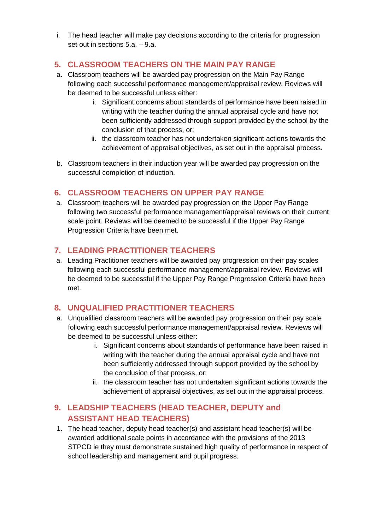i. The head teacher will make pay decisions according to the criteria for progression set out in sections 5.a. – 9.a.

## <span id="page-10-0"></span>**5. CLASSROOM TEACHERS ON THE MAIN PAY RANGE**

- a. Classroom teachers will be awarded pay progression on the Main Pay Range following each successful performance management/appraisal review. Reviews will be deemed to be successful unless either:
	- i. Significant concerns about standards of performance have been raised in writing with the teacher during the annual appraisal cycle and have not been sufficiently addressed through support provided by the school by the conclusion of that process, or;
	- ii. the classroom teacher has not undertaken significant actions towards the achievement of appraisal objectives, as set out in the appraisal process.
- b. Classroom teachers in their induction year will be awarded pay progression on the successful completion of induction.

## <span id="page-10-1"></span>**6. CLASSROOM TEACHERS ON UPPER PAY RANGE**

a. Classroom teachers will be awarded pay progression on the Upper Pay Range following two successful performance management/appraisal reviews on their current scale point. Reviews will be deemed to be successful if the Upper Pay Range Progression Criteria have been met.

## <span id="page-10-2"></span>**7. LEADING PRACTITIONER TEACHERS**

a. Leading Practitioner teachers will be awarded pay progression on their pay scales following each successful performance management/appraisal review. Reviews will be deemed to be successful if the Upper Pay Range Progression Criteria have been met.

## <span id="page-10-3"></span>**8. UNQUALIFIED PRACTITIONER TEACHERS**

- a. Unqualified classroom teachers will be awarded pay progression on their pay scale following each successful performance management/appraisal review. Reviews will be deemed to be successful unless either:
	- i. Significant concerns about standards of performance have been raised in writing with the teacher during the annual appraisal cycle and have not been sufficiently addressed through support provided by the school by the conclusion of that process, or;
	- ii. the classroom teacher has not undertaken significant actions towards the achievement of appraisal objectives, as set out in the appraisal process.

## <span id="page-10-4"></span>**9. LEADSHIP TEACHERS (HEAD TEACHER, DEPUTY and ASSISTANT HEAD TEACHERS)**

1. The head teacher, deputy head teacher(s) and assistant head teacher(s) will be awarded additional scale points in accordance with the provisions of the 2013 STPCD ie they must demonstrate sustained high quality of performance in respect of school leadership and management and pupil progress.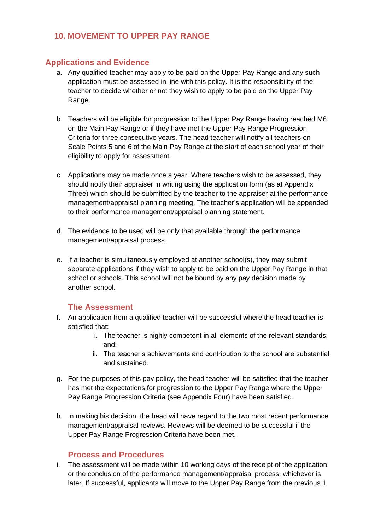## <span id="page-11-0"></span>**10. MOVEMENT TO UPPER PAY RANGE**

#### <span id="page-11-1"></span>**Applications and Evidence**

- a. Any qualified teacher may apply to be paid on the Upper Pay Range and any such application must be assessed in line with this policy. It is the responsibility of the teacher to decide whether or not they wish to apply to be paid on the Upper Pay Range.
- b. Teachers will be eligible for progression to the Upper Pay Range having reached M6 on the Main Pay Range or if they have met the Upper Pay Range Progression Criteria for three consecutive years. The head teacher will notify all teachers on Scale Points 5 and 6 of the Main Pay Range at the start of each school year of their eligibility to apply for assessment.
- c. Applications may be made once a year. Where teachers wish to be assessed, they should notify their appraiser in writing using the application form (as at Appendix Three) which should be submitted by the teacher to the appraiser at the performance management/appraisal planning meeting. The teacher's application will be appended to their performance management/appraisal planning statement.
- d. The evidence to be used will be only that available through the performance management/appraisal process.
- e. If a teacher is simultaneously employed at another school(s), they may submit separate applications if they wish to apply to be paid on the Upper Pay Range in that school or schools. This school will not be bound by any pay decision made by another school.

#### **The Assessment**

- <span id="page-11-2"></span>f. An application from a qualified teacher will be successful where the head teacher is satisfied that:
	- i. The teacher is highly competent in all elements of the relevant standards; and;
	- ii. The teacher's achievements and contribution to the school are substantial and sustained.
- g. For the purposes of this pay policy, the head teacher will be satisfied that the teacher has met the expectations for progression to the Upper Pay Range where the Upper Pay Range Progression Criteria (see Appendix Four) have been satisfied.
- h. In making his decision, the head will have regard to the two most recent performance management/appraisal reviews. Reviews will be deemed to be successful if the Upper Pay Range Progression Criteria have been met.

#### **Process and Procedures**

<span id="page-11-3"></span>i. The assessment will be made within 10 working days of the receipt of the application or the conclusion of the performance management/appraisal process, whichever is later. If successful, applicants will move to the Upper Pay Range from the previous 1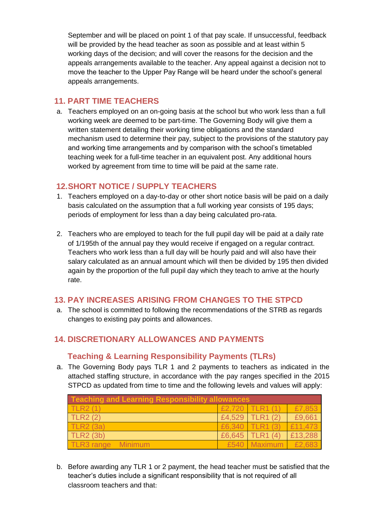September and will be placed on point 1 of that pay scale. If unsuccessful, feedback will be provided by the head teacher as soon as possible and at least within 5 working days of the decision; and will cover the reasons for the decision and the appeals arrangements available to the teacher. Any appeal against a decision not to move the teacher to the Upper Pay Range will be heard under the school's general appeals arrangements.

#### <span id="page-12-0"></span>**11. PART TIME TEACHERS**

a. Teachers employed on an on-going basis at the school but who work less than a full working week are deemed to be part-time. The Governing Body will give them a written statement detailing their working time obligations and the standard mechanism used to determine their pay, subject to the provisions of the statutory pay and working time arrangements and by comparison with the school's timetabled teaching week for a full-time teacher in an equivalent post. Any additional hours worked by agreement from time to time will be paid at the same rate.

## <span id="page-12-1"></span>**12.SHORT NOTICE / SUPPLY TEACHERS**

- 1. Teachers employed on a day-to-day or other short notice basis will be paid on a daily basis calculated on the assumption that a full working year consists of 195 days; periods of employment for less than a day being calculated pro-rata.
- 2. Teachers who are employed to teach for the full pupil day will be paid at a daily rate of 1/195th of the annual pay they would receive if engaged on a regular contract. Teachers who work less than a full day will be hourly paid and will also have their salary calculated as an annual amount which will then be divided by 195 then divided again by the proportion of the full pupil day which they teach to arrive at the hourly rate.

## <span id="page-12-2"></span>**13. PAY INCREASES ARISING FROM CHANGES TO THE STPCD**

a. The school is committed to following the recommendations of the STRB as regards changes to existing pay points and allowances.

## <span id="page-12-4"></span><span id="page-12-3"></span>**14. DISCRETIONARY ALLOWANCES AND PAYMENTS**

## **Teaching & Learning Responsibility Payments (TLRs)**

a. The Governing Body pays TLR 1 and 2 payments to teachers as indicated in the attached staffing structure, in accordance with the pay ranges specified in the 2015 STPCD as updated from time to time and the following levels and values will apply:

| <b>Teaching and Learning Responsibility allowances</b> |  |                     |         |  |
|--------------------------------------------------------|--|---------------------|---------|--|
| TLR2(1)                                                |  | £2,720   TLR1 $(1)$ | £7,853  |  |
| <b>TLR2(2)</b>                                         |  | £4,529   TLR1 $(2)$ | £9,661  |  |
| <b>TLR2 (3a)</b>                                       |  | £6,340   TLR1 $(3)$ | £11,473 |  |
| <b>TLR2 (3b)</b>                                       |  | £6,645 TLR1 $(4)$   | £13,288 |  |
| TLR3 range Minimum                                     |  | £540 Maximum        | £2.683  |  |

b. Before awarding any TLR 1 or 2 payment, the head teacher must be satisfied that the teacher's duties include a significant responsibility that is not required of all classroom teachers and that: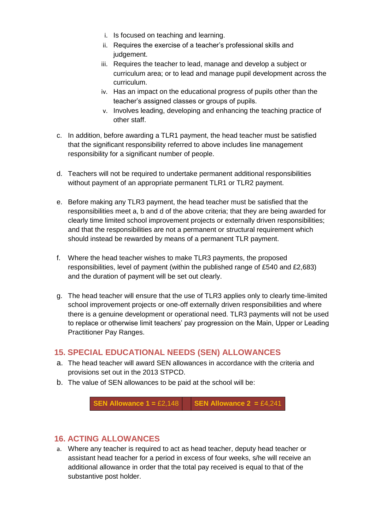- i. Is focused on teaching and learning.
- ii. Requires the exercise of a teacher's professional skills and judgement.
- iii. Requires the teacher to lead, manage and develop a subject or curriculum area; or to lead and manage pupil development across the curriculum.
- iv. Has an impact on the educational progress of pupils other than the teacher's assigned classes or groups of pupils.
- v. Involves leading, developing and enhancing the teaching practice of other staff.
- c. In addition, before awarding a TLR1 payment, the head teacher must be satisfied that the significant responsibility referred to above includes line management responsibility for a significant number of people.
- d. Teachers will not be required to undertake permanent additional responsibilities without payment of an appropriate permanent TLR1 or TLR2 payment.
- e. Before making any TLR3 payment, the head teacher must be satisfied that the responsibilities meet a, b and d of the above criteria; that they are being awarded for clearly time limited school improvement projects or externally driven responsibilities; and that the responsibilities are not a permanent or structural requirement which should instead be rewarded by means of a permanent TLR payment.
- f. Where the head teacher wishes to make TLR3 payments, the proposed responsibilities, level of payment (within the published range of £540 and £2,683) and the duration of payment will be set out clearly.
- g. The head teacher will ensure that the use of TLR3 applies only to clearly time-limited school improvement projects or one-off externally driven responsibilities and where there is a genuine development or operational need. TLR3 payments will not be used to replace or otherwise limit teachers' pay progression on the Main, Upper or Leading Practitioner Pay Ranges.

## <span id="page-13-0"></span>**15. SPECIAL EDUCATIONAL NEEDS (SEN) ALLOWANCES**

- a. The head teacher will award SEN allowances in accordance with the criteria and provisions set out in the 2013 STPCD.
- b. The value of SEN allowances to be paid at the school will be:

**SEN Allowance 1 = £2,148 SEN Allowance 2 = £4,241** 

## <span id="page-13-1"></span>**16. ACTING ALLOWANCES**

a. Where any teacher is required to act as head teacher, deputy head teacher or assistant head teacher for a period in excess of four weeks, s/he will receive an additional allowance in order that the total pay received is equal to that of the substantive post holder.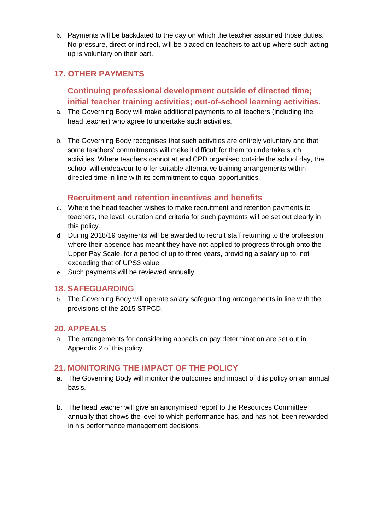b. Payments will be backdated to the day on which the teacher assumed those duties. No pressure, direct or indirect, will be placed on teachers to act up where such acting up is voluntary on their part.

## <span id="page-14-1"></span><span id="page-14-0"></span>**17. OTHER PAYMENTS**

## **Continuing professional development outside of directed time; initial teacher training activities; out-of-school learning activities.**

- a. The Governing Body will make additional payments to all teachers (including the head teacher) who agree to undertake such activities.
- b. The Governing Body recognises that such activities are entirely voluntary and that some teachers' commitments will make it difficult for them to undertake such activities. Where teachers cannot attend CPD organised outside the school day, the school will endeavour to offer suitable alternative training arrangements within directed time in line with its commitment to equal opportunities.

## **Recruitment and retention incentives and benefits**

- <span id="page-14-2"></span>c. Where the head teacher wishes to make recruitment and retention payments to teachers, the level, duration and criteria for such payments will be set out clearly in this policy.
- d. During 2018/19 payments will be awarded to recruit staff returning to the profession, where their absence has meant they have not applied to progress through onto the Upper Pay Scale, for a period of up to three years, providing a salary up to, not exceeding that of UPS3 value.
- e. Such payments will be reviewed annually.

## <span id="page-14-3"></span>**18. SAFEGUARDING**

b. The Governing Body will operate salary safeguarding arrangements in line with the provisions of the 2015 STPCD.

## <span id="page-14-4"></span>**20. APPEALS**

a. The arrangements for considering appeals on pay determination are set out in Appendix 2 of this policy.

## <span id="page-14-5"></span>**21. MONITORING THE IMPACT OF THE POLICY**

- a. The Governing Body will monitor the outcomes and impact of this policy on an annual basis.
- b. The head teacher will give an anonymised report to the Resources Committee annually that shows the level to which performance has, and has not, been rewarded in his performance management decisions.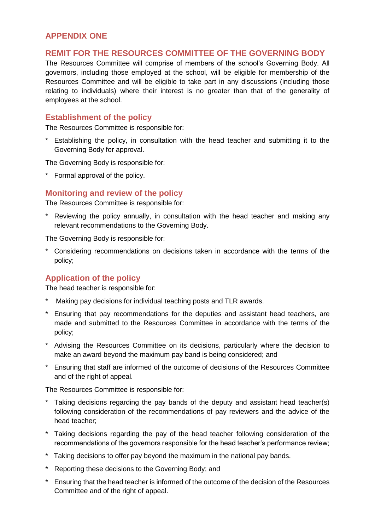## <span id="page-15-0"></span>**APPENDIX ONE**

## <span id="page-15-1"></span>**REMIT FOR THE RESOURCES COMMITTEE OF THE GOVERNING BODY**

The Resources Committee will comprise of members of the school's Governing Body. All governors, including those employed at the school, will be eligible for membership of the Resources Committee and will be eligible to take part in any discussions (including those relating to individuals) where their interest is no greater than that of the generality of employees at the school.

#### <span id="page-15-2"></span>**Establishment of the policy**

The Resources Committee is responsible for:

\* Establishing the policy, in consultation with the head teacher and submitting it to the Governing Body for approval.

The Governing Body is responsible for:

\* Formal approval of the policy.

## <span id="page-15-3"></span>**Monitoring and review of the policy**

The Resources Committee is responsible for:

\* Reviewing the policy annually, in consultation with the head teacher and making any relevant recommendations to the Governing Body.

The Governing Body is responsible for:

\* Considering recommendations on decisions taken in accordance with the terms of the policy;

## <span id="page-15-4"></span>**Application of the policy**

The head teacher is responsible for:

- Making pay decisions for individual teaching posts and TLR awards.
- \* Ensuring that pay recommendations for the deputies and assistant head teachers, are made and submitted to the Resources Committee in accordance with the terms of the policy;
- \* Advising the Resources Committee on its decisions, particularly where the decision to make an award beyond the maximum pay band is being considered; and
- \* Ensuring that staff are informed of the outcome of decisions of the Resources Committee and of the right of appeal.

The Resources Committee is responsible for:

- \* Taking decisions regarding the pay bands of the deputy and assistant head teacher(s) following consideration of the recommendations of pay reviewers and the advice of the head teacher;
- \* Taking decisions regarding the pay of the head teacher following consideration of the recommendations of the governors responsible for the head teacher's performance review;
- \* Taking decisions to offer pay beyond the maximum in the national pay bands.
- \* Reporting these decisions to the Governing Body; and
- \* Ensuring that the head teacher is informed of the outcome of the decision of the Resources Committee and of the right of appeal.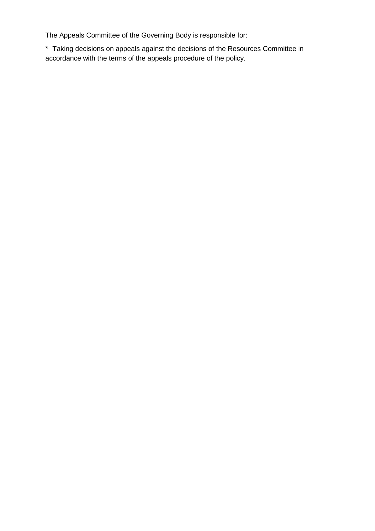The Appeals Committee of the Governing Body is responsible for:

\* Taking decisions on appeals against the decisions of the Resources Committee in accordance with the terms of the appeals procedure of the policy.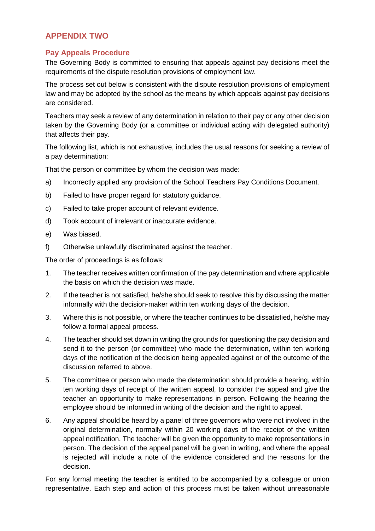## <span id="page-17-0"></span>**APPENDIX TWO**

#### <span id="page-17-1"></span>**Pay Appeals Procedure**

The Governing Body is committed to ensuring that appeals against pay decisions meet the requirements of the dispute resolution provisions of employment law.

The process set out below is consistent with the dispute resolution provisions of employment law and may be adopted by the school as the means by which appeals against pay decisions are considered.

Teachers may seek a review of any determination in relation to their pay or any other decision taken by the Governing Body (or a committee or individual acting with delegated authority) that affects their pay.

The following list, which is not exhaustive, includes the usual reasons for seeking a review of a pay determination:

That the person or committee by whom the decision was made:

- a) Incorrectly applied any provision of the School Teachers Pay Conditions Document.
- b) Failed to have proper regard for statutory guidance.
- c) Failed to take proper account of relevant evidence.
- d) Took account of irrelevant or inaccurate evidence.
- e) Was biased.
- f) Otherwise unlawfully discriminated against the teacher.

The order of proceedings is as follows:

- 1. The teacher receives written confirmation of the pay determination and where applicable the basis on which the decision was made.
- 2. If the teacher is not satisfied, he/she should seek to resolve this by discussing the matter informally with the decision-maker within ten working days of the decision.
- 3. Where this is not possible, or where the teacher continues to be dissatisfied, he/she may follow a formal appeal process.
- 4. The teacher should set down in writing the grounds for questioning the pay decision and send it to the person (or committee) who made the determination, within ten working days of the notification of the decision being appealed against or of the outcome of the discussion referred to above.
- 5. The committee or person who made the determination should provide a hearing, within ten working days of receipt of the written appeal, to consider the appeal and give the teacher an opportunity to make representations in person. Following the hearing the employee should be informed in writing of the decision and the right to appeal.
- 6. Any appeal should be heard by a panel of three governors who were not involved in the original determination, normally within 20 working days of the receipt of the written appeal notification. The teacher will be given the opportunity to make representations in person. The decision of the appeal panel will be given in writing, and where the appeal is rejected will include a note of the evidence considered and the reasons for the decision.

For any formal meeting the teacher is entitled to be accompanied by a colleague or union representative. Each step and action of this process must be taken without unreasonable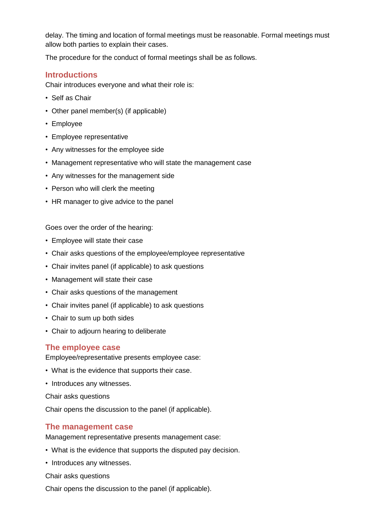delay. The timing and location of formal meetings must be reasonable. Formal meetings must allow both parties to explain their cases.

The procedure for the conduct of formal meetings shall be as follows.

## <span id="page-18-0"></span>**Introductions**

Chair introduces everyone and what their role is:

- Self as Chair
- Other panel member(s) (if applicable)
- Employee
- Employee representative
- Any witnesses for the employee side
- Management representative who will state the management case
- Any witnesses for the management side
- Person who will clerk the meeting
- HR manager to give advice to the panel

Goes over the order of the hearing:

- Employee will state their case
- Chair asks questions of the employee/employee representative
- Chair invites panel (if applicable) to ask questions
- Management will state their case
- Chair asks questions of the management
- Chair invites panel (if applicable) to ask questions
- Chair to sum up both sides
- Chair to adjourn hearing to deliberate

## <span id="page-18-1"></span>**The employee case**

Employee/representative presents employee case:

- What is the evidence that supports their case.
- Introduces any witnesses.

Chair asks questions

Chair opens the discussion to the panel (if applicable).

## <span id="page-18-2"></span>**The management case**

Management representative presents management case:

- What is the evidence that supports the disputed pay decision.
- Introduces any witnesses.

Chair asks questions

Chair opens the discussion to the panel (if applicable).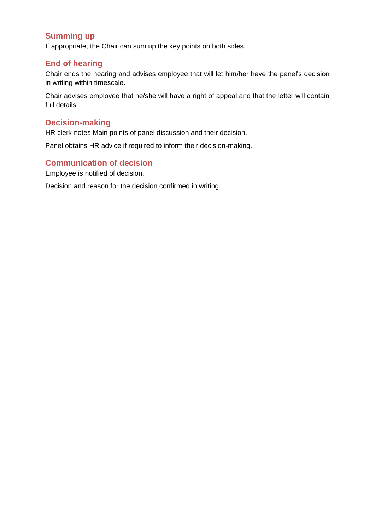## <span id="page-19-0"></span>**Summing up**

If appropriate, the Chair can sum up the key points on both sides.

## <span id="page-19-1"></span>**End of hearing**

Chair ends the hearing and advises employee that will let him/her have the panel's decision in writing within timescale.

Chair advises employee that he/she will have a right of appeal and that the letter will contain full details.

## <span id="page-19-2"></span>**Decision-making**

HR clerk notes Main points of panel discussion and their decision.

Panel obtains HR advice if required to inform their decision-making.

## <span id="page-19-3"></span>**Communication of decision**

Employee is notified of decision.

Decision and reason for the decision confirmed in writing.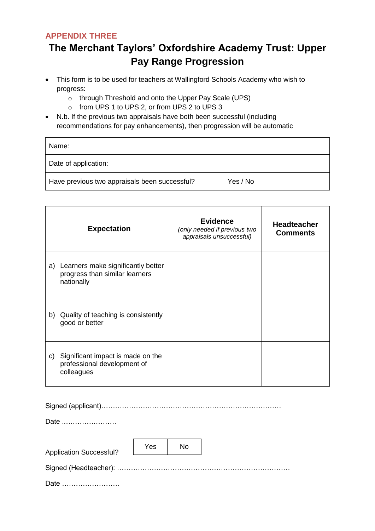#### <span id="page-20-0"></span>**APPENDIX THREE**

## **The Merchant Taylors' Oxfordshire Academy Trust: Upper Pay Range Progression**

- This form is to be used for teachers at Wallingford Schools Academy who wish to progress:
	- o through Threshold and onto the Upper Pay Scale (UPS)
	- o from UPS 1 to UPS 2, or from UPS 2 to UPS 3
- N.b. If the previous two appraisals have both been successful (including recommendations for pay enhancements), then progression will be automatic

| Name:                                         |          |
|-----------------------------------------------|----------|
| Date of application:                          |          |
| Have previous two appraisals been successful? | Yes / No |

|    | <b>Expectation</b>                                                                 | <b>Evidence</b><br>(only needed if previous two<br>appraisals unsuccessful) | <b>Headteacher</b><br><b>Comments</b> |
|----|------------------------------------------------------------------------------------|-----------------------------------------------------------------------------|---------------------------------------|
| a) | Learners make significantly better<br>progress than similar learners<br>nationally |                                                                             |                                       |
| b) | Quality of teaching is consistently<br>good or better                              |                                                                             |                                       |
| C) | Significant impact is made on the<br>professional development of<br>colleagues     |                                                                             |                                       |

Signed (applicant)……………………………………………………………………

Date ..………………….

| <b>Application Successful?</b> | Yes | No |
|--------------------------------|-----|----|
|                                |     |    |
| Date                           |     |    |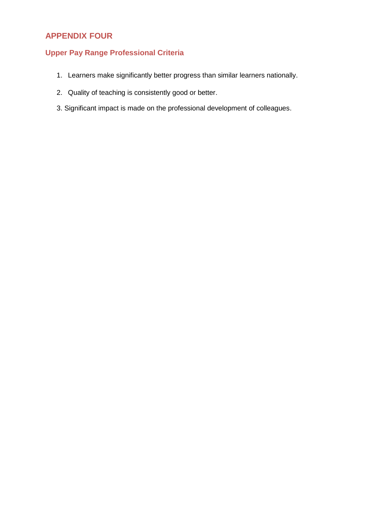## <span id="page-21-0"></span>**APPENDIX FOUR**

## <span id="page-21-1"></span>**Upper Pay Range Professional Criteria**

- 1. Learners make significantly better progress than similar learners nationally.
- 2. Quality of teaching is consistently good or better.
- 3. Significant impact is made on the professional development of colleagues.